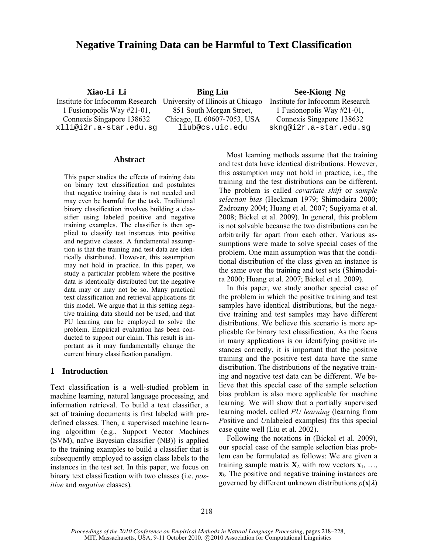# **Negative Training Data can be Harmful to Text Classification**

1 Fusionopolis Way #21-01, Connexis Singapore 138632

851 South Morgan Street, Chicago, IL 60607-7053, USA

**Xiao-Li Li Bing Liu See-Kiong Ng** 

Institute for Infocomm Research University of Illinois at Chicago Institute for Infocomm Research 1 Fusionopolis Way #21-01, Connexis Singapore 138632 xlli@i2r.a-star.edu.sg liub@cs.uic.edu skng@i2r.a-star.edu.sg

#### **Abstract**

This paper studies the effects of training data on binary text classification and postulates that negative training data is not needed and may even be harmful for the task. Traditional binary classification involves building a classifier using labeled positive and negative training examples. The classifier is then applied to classify test instances into positive and negative classes. A fundamental assumption is that the training and test data are identically distributed. However, this assumption may not hold in practice. In this paper, we study a particular problem where the positive data is identically distributed but the negative data may or may not be so. Many practical text classification and retrieval applications fit this model. We argue that in this setting negative training data should not be used, and that PU learning can be employed to solve the problem. Empirical evaluation has been conducted to support our claim. This result is important as it may fundamentally change the current binary classification paradigm.

# **1 Introduction**

Text classification is a well-studied problem in machine learning, natural language processing, and information retrieval. To build a text classifier, a set of training documents is first labeled with predefined classes. Then, a supervised machine learning algorithm (e.g., Support Vector Machines (SVM), naïve Bayesian classifier (NB)) is applied to the training examples to build a classifier that is subsequently employed to assign class labels to the instances in the test set. In this paper, we focus on binary text classification with two classes (i.e. *positive* and *negative* classes)*.* 

Most learning methods assume that the training and test data have identical distributions. However, this assumption may not hold in practice, i.e., the training and the test distributions can be different. The problem is called *covariate shift* or *sample selection bias* (Heckman 1979; Shimodaira 2000; Zadrozny 2004; Huang et al. 2007; Sugiyama et al. 2008; Bickel et al. 2009). In general, this problem is not solvable because the two distributions can be arbitrarily far apart from each other. Various assumptions were made to solve special cases of the problem. One main assumption was that the conditional distribution of the class given an instance is the same over the training and test sets (Shimodaira 2000; Huang et al. 2007; Bickel et al. 2009).

In this paper, we study another special case of the problem in which the positive training and test samples have identical distributions, but the negative training and test samples may have different distributions. We believe this scenario is more applicable for binary text classification. As the focus in many applications is on identifying positive instances correctly, it is important that the positive training and the positive test data have the same distribution. The distributions of the negative training and negative test data can be different. We believe that this special case of the sample selection bias problem is also more applicable for machine learning. We will show that a partially supervised learning model, called *PU learning* (learning from *P*ositive and *U*nlabeled examples) fits this special case quite well (Liu et al. 2002).

Following the notations in (Bickel et al. 2009), our special case of the sample selection bias problem can be formulated as follows: We are given a training sample matrix  $X_L$  with row vectors  $X_1, \ldots,$ **x***k*. The positive and negative training instances are governed by different unknown distributions  $p(\mathbf{x}|\lambda)$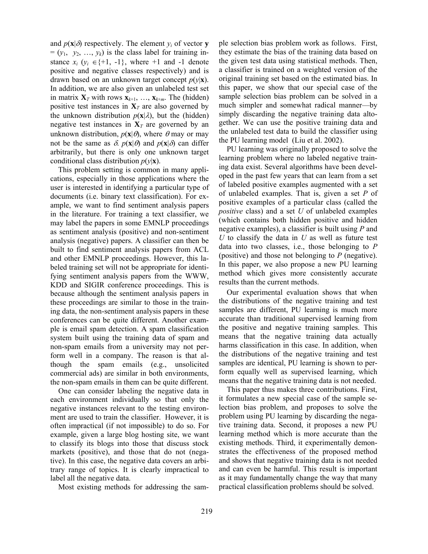and  $p(\mathbf{x}|\delta)$  respectively. The element  $y_i$  of vector **y**  $=(y_1, y_2, ..., y_k)$  is the class label for training instance  $x_i$  ( $y_i \in \{+1, -1\}$ , where  $+1$  and  $-1$  denote positive and negative classes respectively) and is drawn based on an unknown target concept  $p(y|\mathbf{x})$ . In addition, we are also given an unlabeled test set in matrix  $\mathbf{X}_T$  with rows  $\mathbf{x}_{k+1}, \ldots, \mathbf{x}_{k+m}$ . The (hidden) positive test instances in  $X_T$  are also governed by the unknown distribution  $p(\mathbf{x}|\lambda)$ , but the (hidden) negative test instances in  $X_T$  are governed by an unknown distribution,  $p(\mathbf{x}|\theta)$ , where  $\theta$  may or may not be the same as  $\delta$ .  $p(\mathbf{x}|\theta)$  and  $p(\mathbf{x}|\delta)$  can differ arbitrarily, but there is only one unknown target conditional class distribution  $p(y|\mathbf{x})$ .

This problem setting is common in many applications, especially in those applications where the user is interested in identifying a particular type of documents (i.e. binary text classification). For example, we want to find sentiment analysis papers in the literature. For training a text classifier, we may label the papers in some EMNLP proceedings as sentiment analysis (positive) and non-sentiment analysis (negative) papers. A classifier can then be built to find sentiment analysis papers from ACL and other EMNLP proceedings. However, this labeled training set will not be appropriate for identifying sentiment analysis papers from the WWW, KDD and SIGIR conference proceedings. This is because although the sentiment analysis papers in these proceedings are similar to those in the training data, the non-sentiment analysis papers in these conferences can be quite different. Another example is email spam detection. A spam classification system built using the training data of spam and non-spam emails from a university may not perform well in a company. The reason is that although the spam emails (e.g., unsolicited commercial ads) are similar in both environments, the non-spam emails in them can be quite different.

One can consider labeling the negative data in each environment individually so that only the negative instances relevant to the testing environment are used to train the classifier. However, it is often impractical (if not impossible) to do so. For example, given a large blog hosting site, we want to classify its blogs into those that discuss stock markets (positive), and those that do not (negative). In this case, the negative data covers an arbitrary range of topics. It is clearly impractical to label all the negative data.

Most existing methods for addressing the sam-

ple selection bias problem work as follows. First, they estimate the bias of the training data based on the given test data using statistical methods. Then, a classifier is trained on a weighted version of the original training set based on the estimated bias. In this paper, we show that our special case of the sample selection bias problem can be solved in a much simpler and somewhat radical manner—by simply discarding the negative training data altogether. We can use the positive training data and the unlabeled test data to build the classifier using the PU learning model (Liu et al. 2002).

PU learning was originally proposed to solve the learning problem where no labeled negative training data exist. Several algorithms have been developed in the past few years that can learn from a set of labeled positive examples augmented with a set of unlabeled examples. That is, given a set *P* of positive examples of a particular class (called the *positive* class) and a set *U* of unlabeled examples (which contains both hidden positive and hidden negative examples), a classifier is built using *P* and *U* to classify the data in *U* as well as future test data into two classes, i.e., those belonging to *P* (positive) and those not belonging to *P* (negative). In this paper, we also propose a new PU learning method which gives more consistently accurate results than the current methods.

Our experimental evaluation shows that when the distributions of the negative training and test samples are different, PU learning is much more accurate than traditional supervised learning from the positive and negative training samples. This means that the negative training data actually harms classification in this case. In addition, when the distributions of the negative training and test samples are identical, PU learning is shown to perform equally well as supervised learning, which means that the negative training data is not needed.

This paper thus makes three contributions. First, it formulates a new special case of the sample selection bias problem, and proposes to solve the problem using PU learning by discarding the negative training data. Second, it proposes a new PU learning method which is more accurate than the existing methods. Third, it experimentally demonstrates the effectiveness of the proposed method and shows that negative training data is not needed and can even be harmful. This result is important as it may fundamentally change the way that many practical classification problems should be solved.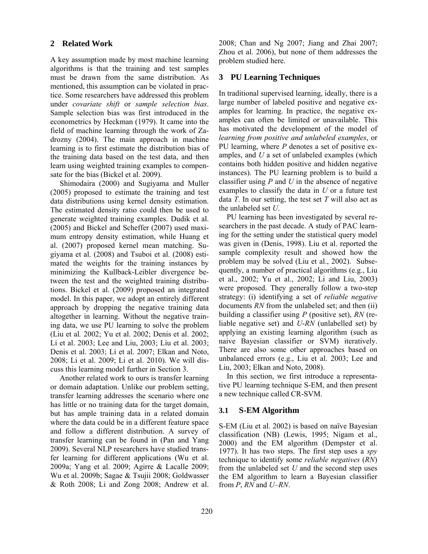# **2 Related Work**

A key assumption made by most machine learning algorithms is that the training and test samples must be drawn from the same distribution. As mentioned, this assumption can be violated in practice. Some researchers have addressed this problem under *covariate shift* or *sample selection bias*. Sample selection bias was first introduced in the econometrics by Heckman (1979). It came into the field of machine learning through the work of Zadrozny (2004). The main approach in machine learning is to first estimate the distribution bias of the training data based on the test data, and then learn using weighted training examples to compensate for the bias (Bickel et al. 2009).

Shimodaira (2000) and Sugiyama and Muller (2005) proposed to estimate the training and test data distributions using kernel density estimation. The estimated density ratio could then be used to generate weighted training examples. Dudik et al. (2005) and Bickel and Scheffer (2007) used maximum entropy density estimation, while Huang et al. (2007) proposed kernel mean matching. Sugiyama et al. (2008) and Tsuboi et al. (2008) estimated the weights for the training instances by minimizing the Kullback-Leibler divergence between the test and the weighted training distributions. Bickel et al. (2009) proposed an integrated model. In this paper, we adopt an entirely different approach by dropping the negative training data altogether in learning. Without the negative training data, we use PU learning to solve the problem (Liu et al*.* 2002; Yu et al. 2002; Denis et al. 2002; Li et al. 2003; Lee and Liu, 2003; Liu et al. 2003; Denis et al. 2003; Li et al. 2007; Elkan and Noto, 2008; Li et al. 2009; Li et al. 2010). We will discuss this learning model further in Section 3.

Another related work to ours is transfer learning or domain adaptation. Unlike our problem setting, transfer learning addresses the scenario where one has little or no training data for the target domain, but has ample training data in a related domain where the data could be in a different feature space and follow a different distribution. A survey of transfer learning can be found in (Pan and Yang 2009). Several NLP researchers have studied transfer learning for different applications (Wu et al. 2009a; Yang et al. 2009; Agirre & Lacalle 2009; Wu et al. 2009b; Sagae & Tsujii 2008; Goldwasser & Roth 2008; Li and Zong 2008; Andrew et al.

2008; Chan and Ng 2007; Jiang and Zhai 2007; Zhou et al. 2006), but none of them addresses the problem studied here.

# **3 PU Learning Techniques**

In traditional supervised learning, ideally, there is a large number of labeled positive and negative examples for learning. In practice, the negative examples can often be limited or unavailable. This has motivated the development of the model of *learning from positive and unlabeled examples*, or PU learning, where *P* denotes a set of positive examples, and *U* a set of unlabeled examples (which contains both hidden positive and hidden negative instances). The PU learning problem is to build a classifier using *P* and *U* in the absence of negative examples to classify the data in *U* or a future test data *T*. In our setting, the test set *T* will also act as the unlabeled set *U*.

PU learning has been investigated by several researchers in the past decade. A study of PAC learning for the setting under the statistical query model was given in (Denis, 1998). Liu et al. reported the sample complexity result and showed how the problem may be solved (Liu et al., 2002). Subsequently, a number of practical algorithms (e.g., Liu et al., 2002; Yu et al., 2002; Li and Liu, 2003) were proposed. They generally follow a two-step strategy: (i) identifying a set of *reliable negative* documents *RN* from the unlabeled set; and then (ii) building a classifier using *P* (positive set), *RN* (reliable negative set) and *U*-*RN* (unlabelled set) by applying an existing learning algorithm (such as naive Bayesian classifier or SVM) iteratively. There are also some other approaches based on unbalanced errors (e.g., Liu et al. 2003; Lee and Liu, 2003; Elkan and Noto, 2008).

In this section, we first introduce a representative PU learning technique S-EM, and then present a new technique called CR-SVM.

#### **3.1 S-EM Algorithm**

S-EM (Liu et al. 2002) is based on naïve Bayesian classification (NB) (Lewis, 1995; Nigam et al., 2000) and the EM algorithm (Dempster et al. 1977). It has two steps. The first step uses a *spy* technique to identify some *reliable negatives* (*RN*) from the unlabeled set *U* and the second step uses the EM algorithm to learn a Bayesian classifier from *P*, *RN* and *U*–*RN*.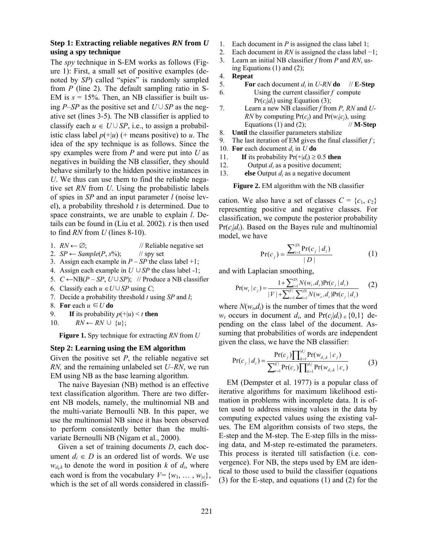# **Step 1: Extracting reliable negatives** *RN* **from** *U* **using a spy technique**

The *spy* technique in S-EM works as follows (Figure 1): First, a small set of positive examples (denoted by *SP*) called "spies" is randomly sampled from *P* (line 2). The default sampling ratio in S-EM is  $s = 15\%$ . Then, an NB classifier is built using *P*–*SP* as the positive set and *U*∪*SP* as the negative set (lines 3-5). The NB classifier is applied to classify each  $u \in U \cup SP$ , i.e., to assign a probabilistic class label  $p(+|u)$  (+ means positive) to *u*. The idea of the spy technique is as follows. Since the spy examples were from *P* and were put into *U* as negatives in building the NB classifier, they should behave similarly to the hidden positive instances in *U*. We thus can use them to find the reliable negative set *RN* from *U*. Using the probabilistic labels of spies in *SP* and an input parameter *l* (noise level), a probability threshold *t* is determined. Due to space constraints, we are unable to explain *l*. Details can be found in (Liu et al. 2002). *t* is then used to find *RN* from *U* (lines 8-10).

- 1.  $RN \leftarrow \emptyset$ ; // Reliable negative set
- 2. *SP*  $\leftarrow$  *Sample*(*P*, *s*%); // spy set
- 3. Assign each example in  $P SP$  the class label +1;
- 4. Assign each example in  $U \cup SP$  the class label -1;
- 5.  $C \leftarrow NB(P SP, U \cup SP)$ ; // Produce a NB classifier
- 6. Classify each  $u \in U \cup SP$  using *C*;
- 7. Decide a probability threshold *t* using *SP* and *l*;
- 8. **For** each  $u \in U$  **do**
- 9. **If** its probability  $p(+|u) < t$  **then**
- 10.  $RN \leftarrow RN \cup \{u\};$

**Figure 1.** Spy technique for extracting *RN* from *U*

### **Step 2: Learning using the EM algorithm**

Given the positive set  $P$ , the reliable negative set *RN,* and the remaining unlabeled set *U*–*RN*, we run EM using NB as the base learning algorithm.

The naive Bayesian (NB) method is an effective text classification algorithm. There are two different NB models, namely, the multinomial NB and the multi-variate Bernoulli NB. In this paper, we use the multinomial NB since it has been observed to perform consistently better than the multivariate Bernoulli NB (Nigam et al., 2000).

Given a set of training documents *D*, each document  $d_i \in D$  is an ordered list of words. We use  $w_{d_i,k}$  to denote the word in position *k* of  $d_i$ , where each word is from the vocabulary  $V = \{w_1, \ldots, w_{|v|}\},\$ which is the set of all words considered in classifi-

- 1. Each document in *P* is assigned the class label 1;
- 2. Each document in *RN* is assigned the class label −1;
- 3. Learn an initial NB classifier *f* from *P* and *RN*, using Equations (1) and (2);
- 4. **Repeat**
- 5. **For** each document  $d_i$  in *U-RN* **do**  $\#$ **E-Step** 6. Using the current classifier *f* compute  $Pr(c_j|d_i)$  using Equation (3);
- 7. Learn a new NB classifier *f* from *P, RN* and *U-RN* by computing  $Pr(c_i)$  and  $Pr(w_i|c_i)$ , using Equations (1) and (2);  $\mathcal{U}$ **M-Step**
- 8. **Until** the classifier parameters stabilize
- 9. The last iteration of EM gives the final classifier *f* ;
- 10. **For** each document  $d_i$  in  $U$  **do**
- 11. **If** its probability  $Pr(+|d_i) \ge 0.5$  then
- 12. Output  $d_i$  as a positive document;
- 13. **else** Output *di* as a negative document

**Figure 2.** EM algorithm with the NB classifier

cation. We also have a set of classes  $C = \{c_1, c_2\}$ representing positive and negative classes. For classification, we compute the posterior probability  $Pr(c_i|d_i)$ . Based on the Bayes rule and multinomial model, we have

$$
Pr(c_j) = \frac{\sum_{i=1}^{|D|} Pr(c_j | d_i)}{|D|}
$$
 (1)

and with Laplacian smoothing,

$$
Pr(w_i | c_j) = \frac{1 + \sum_{i=1}^{|D|} N(w_i, d_i) Pr(c_j | d_i)}{|V| + \sum_{s=1}^{|V|} \sum_{i=1}^{|D|} N(w_s, d_i) Pr(c_j | d_i)}
$$
(2)

where  $N(w_t, d_i)$  is the number of times that the word *w<sub>t</sub>* occurs in document *d<sub>i</sub>*, and  $Pr(c_j|d_i) \in \{0,1\}$  depending on the class label of the document. Assuming that probabilities of words are independent given the class, we have the NB classifier:

$$
Pr(c_j | d_i) = \frac{Pr(c_j) \prod_{k=1}^{|d_i|} Pr(w_{d_i,k} | c_j)}{\sum_{r=1}^{|C|} Pr(c_r) \prod_{k=1}^{|d_i|} Pr(w_{d_i,k} | c_r)}
$$
(3)

EM (Dempster et al. 1977) is a popular class of iterative algorithms for maximum likelihood estimation in problems with incomplete data. It is often used to address missing values in the data by computing expected values using the existing values. The EM algorithm consists of two steps, the E*-*step and the M*-*step. The E*-*step fills in the missing data, and M-step re-estimated the parameters. This process is iterated till satisfaction (i.e. convergence). For NB, the steps used by EM are identical to those used to build the classifier (equations (3) for the E*-*step, and equations (1) and (2) for the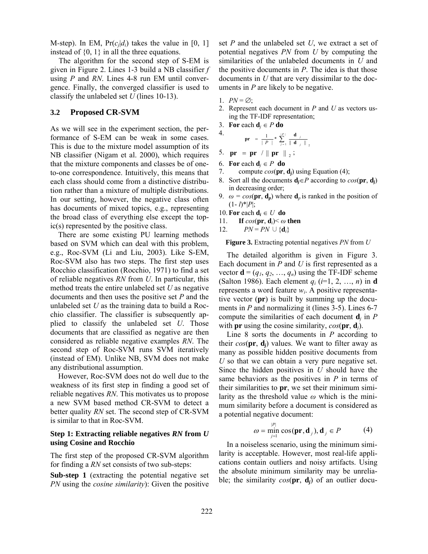M-step). In EM,  $Pr(c_i|d_i)$  takes the value in [0, 1] instead of  $\{0, 1\}$  in all the three equations.

The algorithm for the second step of S-EM is given in Figure 2. Lines 1-3 build a NB classifier *f* using *P* and *RN*. Lines 4-8 run EM until convergence. Finally, the converged classifier is used to classify the unlabeled set *U* (lines 10-13).

## **3.2 Proposed CR-SVM**

As we will see in the experiment section, the performance of S-EM can be weak in some cases. This is due to the mixture model assumption of its NB classifier (Nigam et al. 2000), which requires that the mixture components and classes be of oneto-one correspondence. Intuitively, this means that each class should come from a distinctive distribution rather than a mixture of multiple distributions. In our setting, however, the negative class often has documents of mixed topics, e.g., representing the broad class of everything else except the topic(s) represented by the positive class.

There are some existing PU learning methods based on SVM which can deal with this problem, e.g., Roc-SVM (Li and Liu, 2003). Like S-EM, Roc-SVM also has two steps. The first step uses Rocchio classification (Rocchio, 1971) to find a set of reliable negatives *RN* from *U*. In particular, this method treats the entire unlabeled set *U* as negative documents and then uses the positive set *P* and the unlabeled set *U* as the training data to build a Rocchio classifier. The classifier is subsequently applied to classify the unlabeled set *U*. Those documents that are classified as negative are then considered as reliable negative examples *RN*. The second step of Roc-SVM runs SVM iteratively (instead of EM). Unlike NB, SVM does not make any distributional assumption.

However, Roc-SVM does not do well due to the weakness of its first step in finding a good set of reliable negatives *RN*. This motivates us to propose a new SVM based method CR-SVM to detect a better quality *RN* set. The second step of CR-SVM is similar to that in Roc-SVM.

# **Step 1: Extracting reliable negatives** *RN* **from** *U* **using Cosine and Rocchio**

The first step of the proposed CR-SVM algorithm for finding a *RN* set consists of two sub-steps:

**Sub-step 1** (extracting the potential negative set *PN* using the *cosine similarity*): Given the positive set *P* and the unlabeled set *U*, we extract a set of potential negatives *PN* from *U* by computing the similarities of the unlabeled documents in *U* and the positive documents in *P*. The idea is that those documents in *U* that are very dissimilar to the documents in *P* are likely to be negative.

1.  $PN = \emptyset$ ;

4.

- 2. Represent each document in *P* and *U* as vectors using the TF-IDF representation;
- 3. **For** each  $\mathbf{d}_i \in P$  **do** 
	- $= \frac{1}{|P|} * \sum_{j=1}^{|P|} \frac{d}{||d_j||}$  $\frac{1}{P}$   $\ast$   $\sum_{i=1}^{\infty} \frac{a_{i}}{\parallel d_{i}}$  $\mathbf{p} \mathbf{r} = \frac{1}{n} \mathbf{r} \sum_{i=1}^{|P|} \frac{\mathbf{d}}{n}$

5. 
$$
\mathbf{pr} = \mathbf{pr} / \parallel \mathbf{pr} \parallel_{2}
$$
;

- 6. **For** each  $\mathbf{d}_i \in P$  **do**
- 7. compute *cos*(**pr**, **d***j*) using Equation (4);

 $j = 1$  || **u**  $j$ 

- 8. Sort all the documents  $\mathbf{d}_i \in P$  according to  $cos(\mathbf{pr}, \mathbf{d}_i)$ in decreasing order;
- 9.  $\omega = \cos(\mathbf{pr}, \mathbf{d}_p)$  where  $\mathbf{d}_p$  is ranked in the position of  $(1 - l)^*|P|;$
- 10. **For** each  $\mathbf{d}_i \in U$  **do**
- 11. **If**  $cos(\mathbf{pr}, \mathbf{d}_i) < \omega$  then

12. 
$$
PN = PN \cup \{\mathbf{d}_i\}
$$

**Figure 3.** Extracting potential negatives *PN* from *U*

The detailed algorithm is given in Figure 3. Each document in *P* and *U* is first represented as a vector  $\mathbf{d} = (q_1, q_2, ..., q_n)$  using the TF-IDF scheme (Salton 1986). Each element *qi* (*i*=1, 2, …, *n*) in **d** represents a word feature *wi*. A positive representative vector (**pr**) is built by summing up the documents in *P* and normalizing it (lines 3-5). Lines 6-7 compute the similarities of each document **d***j* in *P*  with **pr** using the cosine similarity,  $cos(\mathbf{pr}, \mathbf{d}_i)$ .

Line 8 sorts the documents in *P* according to their  $cos(\mathbf{pr}, \mathbf{d}_i)$  values. We want to filter away as many as possible hidden positive documents from *U* so that we can obtain a very pure negative set. Since the hidden positives in *U* should have the same behaviors as the positives in *P* in terms of their similarities to **pr**, we set their minimum similarity as the threshold value *ω* which is the minimum similarity before a document is considered as a potential negative document:

$$
\omega = \min_{j=1}^{|P|} \cos(\mathbf{pr}, \mathbf{d}_j), \mathbf{d}_j \in P \tag{4}
$$

In a noiseless scenario, using the minimum similarity is acceptable. However, most real-life applications contain outliers and noisy artifacts. Using the absolute minimum similarity may be unreliable; the similarity *cos*(**pr**, **d***j*) of an outlier docu-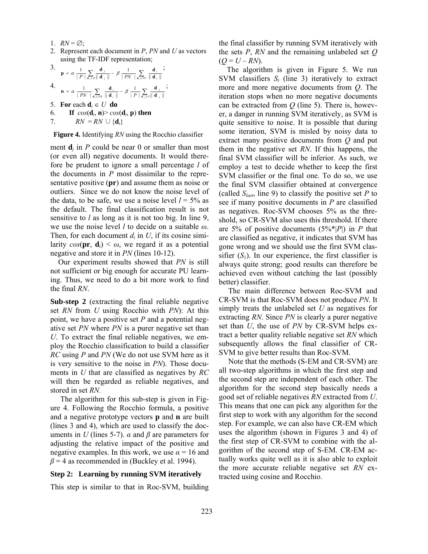- 1.  $RN = \emptyset$ ;
- 2. Represent each document in *P*, *PN* and *U* as vectors using the TF-IDF representation;

*j*

3. 
$$
\mathbf{p} = \alpha \frac{1}{|P|} \sum_{\mathbf{d}_j \in P} \frac{\mathbf{d}_j}{\|\mathbf{d}_j\|} - \beta \frac{1}{|PN|} \sum_{\mathbf{d}_i \in PN} \frac{\mathbf{d}_i}{\|\mathbf{d}_i\|};
$$
4. 
$$
\frac{1}{|P|} \sum_{\mathbf{d}_i \in P} \frac{\mathbf{d}_i}{\|\mathbf{d}_i\|} = \frac{1}{|P|} \sum_{\mathbf{d}_i \in P} \frac{\mathbf{d}_i}{\|\mathbf{d}_i\|} = \frac{1}{|P|} \sum_{\mathbf{d}_i \in P} \frac{\mathbf{d}_i}{\|\mathbf{d}_i\|} = \frac{1}{|P|} \sum_{\mathbf{d}_i \in P} \frac{\mathbf{d}_i}{\|\mathbf{d}_i\|} = \frac{1}{|P|} \sum_{\mathbf{d}_i \in P} \frac{\mathbf{d}_i}{\|\mathbf{d}_i\|} = \frac{1}{|P|} \sum_{\mathbf{d}_i \in P} \frac{\mathbf{d}_i}{\|\mathbf{d}_i\|} = \frac{1}{|P|} \sum_{\mathbf{d}_i \in P} \frac{\mathbf{d}_i}{\|\mathbf{d}_i\|} = \frac{1}{|P|} \sum_{\mathbf{d}_i \in P} \frac{\mathbf{d}_i}{\|\mathbf{d}_i\|} = \frac{1}{|P|} \sum_{\mathbf{d}_i \in P} \frac{\mathbf{d}_i}{\|\mathbf{d}_i\|} = \frac{1}{|P|} \sum_{\mathbf{d}_i \in P} \frac{\mathbf{d}_i}{\|\mathbf{d}_i\|} = \frac{1}{|P|} \sum_{\mathbf{d}_i \in P} \frac{\mathbf{d}_i}{\|\mathbf{d}_i\|} = \frac{1}{|P|} \sum_{\mathbf{d}_i \in P} \frac{\mathbf{d}_i}{\|\mathbf{d}_i\|} = \frac{1}{|P|} \sum_{\mathbf{d}_i \in P} \frac{\mathbf{d}_i}{\|\mathbf{d}_i\|} = \frac{1}{|P|} \sum_{\mathbf{d}_i \in P} \frac{\mathbf{d}_i}{\|\mathbf{d}_i\|} = \frac{1}{|P|} \sum_{\mathbf{d}_
$$

$$
\mathbf{a} = \alpha \frac{1}{\|PN\|} \sum_{\mathbf{d}_i \in PN} \frac{\mathbf{d}_i}{\|\mathbf{d}_i\|} - \beta \frac{1}{\|P\|} \sum_{\mathbf{d}_i \in P} \frac{\mathbf{d}_i}{\|\mathbf{d}_i\|}
$$

5. **For** each  $\mathbf{d}_i \in U$  **do** 

6. **If**  $cos(\mathbf{d}_i, \mathbf{n}) > cos(\mathbf{d}_i, \mathbf{p})$  then

7.  $RN = RN \cup \{\mathbf{d}_i\}$ 

**Figure 4.** Identifying *RN* using the Rocchio classifier

ment  $\mathbf{d}_i$  in *P* could be near 0 or smaller than most (or even all) negative documents. It would therefore be prudent to ignore a small percentage *l* of the documents in *P* most dissimilar to the representative positive (**pr**) and assume them as noise or outliers. Since we do not know the noise level of the data, to be safe, we use a noise level  $l = 5\%$  as the default. The final classification result is not sensitive to *l* as long as it is not too big. In line 9, we use the noise level *l* to decide on a suitable *ω*. Then, for each document  $d_i$  in U, if its cosine similarity  $cos(\mathbf{pr}, \mathbf{d}_i) \leq \omega$ , we regard it as a potential negative and store it in *PN* (lines 10-12).

Our experiment results showed that *PN* is still not sufficient or big enough for accurate PU learning. Thus, we need to do a bit more work to find the final *RN*.

**Sub-step 2** (extracting the final reliable negative set *RN* from *U* using Rocchio with *PN*): At this point, we have a positive set *P* and a potential negative set *PN* where *PN* is a purer negative set than *U*. To extract the final reliable negatives, we employ the Rocchio classification to build a classifier *RC* using *P* and *PN* (We do not use SVM here as it is very sensitive to the noise in *PN*). Those documents in *U* that are classified as negatives by *RC* will then be regarded as reliable negatives, and stored in set *RN.* 

The algorithm for this sub-step is given in Figure 4. Following the Rocchio formula, a positive and a negative prototype vectors **p** and **n** are built (lines 3 and 4), which are used to classify the documents in *U* (lines 5-7).  $\alpha$  and  $\beta$  are parameters for adjusting the relative impact of the positive and negative examples. In this work, we use  $\alpha = 16$  and  $\beta$  = 4 as recommended in (Buckley et al. 1994).

#### **Step 2: Learning by running SVM iteratively**

This step is similar to that in Roc-SVM, building

the final classifier by running SVM iteratively with the sets *P*, *RN* and the remaining unlabeled set *Q*  $(Q = U - RN)$ .

The algorithm is given in Figure 5. We run SVM classifiers  $S_i$  (line 3) iteratively to extract more and more negative documents from *Q*. The iteration stops when no more negative documents can be extracted from *Q* (line 5). There is, however, a danger in running SVM iteratively, as SVM is quite sensitive to noise. It is possible that during some iteration, SVM is misled by noisy data to extract many positive documents from *Q* and put them in the negative set *RN*. If this happens, the final SVM classifier will be inferior. As such, we employ a test to decide whether to keep the first SVM classifier or the final one. To do so, we use the final SVM classifier obtained at convergence (called  $S<sub>last</sub>$ , line 9) to classify the positive set *P* to see if many positive documents in *P* are classified as negatives. Roc-SVM chooses 5% as the threshold, so CR-SVM also uses this threshold. If there are 5% of positive documents (5%\*|*P*|) in *P* that are classified as negative, it indicates that SVM has gone wrong and we should use the first SVM classifier  $(S_1)$ . In our experience, the first classifier is always quite strong; good results can therefore be achieved even without catching the last (possibly better) classifier.

The main difference between Roc-SVM and CR-SVM is that Roc-SVM does not produce *PN*. It simply treats the unlabeled set *U* as negatives for extracting *RN*. Since *PN* is clearly a purer negative set than *U*, the use of *PN* by CR-SVM helps extract a better quality reliable negative set *RN* which subsequently allows the final classifier of CR-SVM to give better results than Roc-SVM.

Note that the methods (S-EM and CR-SVM) are all two-step algorithms in which the first step and the second step are independent of each other. The algorithm for the second step basically needs a good set of reliable negatives *RN* extracted from *U*. This means that one can pick any algorithm for the first step to work with any algorithm for the second step. For example, we can also have CR-EM which uses the algorithm (shown in Figures 3 and 4) of the first step of CR-SVM to combine with the algorithm of the second step of S-EM. CR-EM actually works quite well as it is also able to exploit the more accurate reliable negative set *RN* extracted using cosine and Rocchio.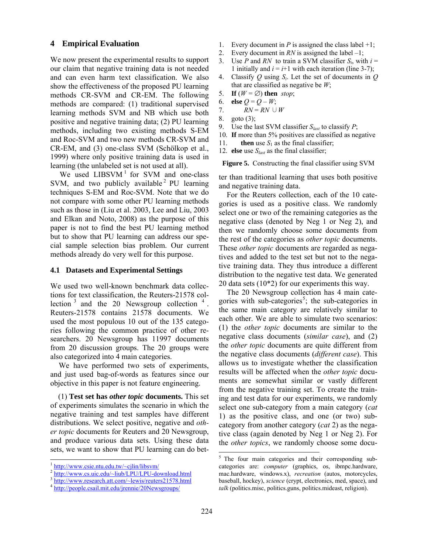### **4 Empirical Evaluation**

We now present the experimental results to support our claim that negative training data is not needed and can even harm text classification. We also show the effectiveness of the proposed PU learning methods CR-SVM and CR-EM. The following methods are compared: (1) traditional supervised learning methods SVM and NB which use both positive and negative training data; (2) PU learning methods, including two existing methods S-EM and Roc-SVM and two new methods CR-SVM and CR-EM, and (3) one-class SVM (Schölkop et al., 1999) where only positive training data is used in learning (the unlabeled set is not used at all).

We used  $LIBSVM<sup>1</sup>$  for SVM and one-class SVM, and two publicly available  $2$  PU learning techniques S-EM and Roc-SVM. Note that we do not compare with some other PU learning methods such as those in (Liu et al. 2003, Lee and Liu, 2003 and Elkan and Noto, 2008) as the purpose of this paper is not to find the best PU learning method but to show that PU learning can address our special sample selection bias problem. Our current methods already do very well for this purpose.

#### **4.1 Datasets and Experimental Settings**

We used two well-known benchmark data collections for text classification, the Reuters-21578 collection  $3$  and the 20 Newsgroup collection  $4$ . Reuters-21578 contains 21578 documents. We used the most populous 10 out of the 135 categories following the common practice of other researchers. 20 Newsgroup has 11997 documents from 20 discussion groups. The 20 groups were also categorized into 4 main categories.

We have performed two sets of experiments, and just used bag-of-words as features since our objective in this paper is not feature engineering.

(1) **Test set has** *other topic* **documents.** This set of experiments simulates the scenario in which the negative training and test samples have different distributions. We select positive, negative and *other topic* documents for Reuters and 20 Newsgroup, and produce various data sets. Using these data sets, we want to show that PU learning can do bet-

 $\overline{\phantom{a}}$ 

- 1. Every document in *P* is assigned the class label  $+1$ ;
- 2. Every document in *RN* is assigned the label –1;
- 3. Use *P* and *RN* to train a SVM classifier  $S_i$ , with  $i =$ 1 initially and  $i = i+1$  with each iteration (line 3-7);
- 4. Classify *Q* using *Si*. Let the set of documents in *Q* that are classified as negative be *W*;
- 5. **If**  $(W = \emptyset)$  then *stop*;
- 6. **else**  $Q = Q W$ ;
- 7.  $RN = RN \cup W$
- 8. goto (3);
- 9. Use the last SVM classifier  $S_{last}$  to classify *P*;
- 10. **If** more than 5% positives are classified as negative
- 11. **then** use  $S_1$  as the final classifier;
- 12. **else** use *Slast* as the final classifier;

**Figure 5.** Constructing the final classifier using SVM

ter than traditional learning that uses both positive and negative training data.

For the Reuters collection, each of the 10 categories is used as a positive class. We randomly select one or two of the remaining categories as the negative class (denoted by Neg 1 or Neg 2), and then we randomly choose some documents from the rest of the categories as *other topic* documents. These *other topic* documents are regarded as negatives and added to the test set but not to the negative training data. They thus introduce a different distribution to the negative test data. We generated 20 data sets (10\*2) for our experiments this way.

The 20 Newsgroup collection has 4 main categories with sub-categories<sup>5</sup>; the sub-categories in the same main category are relatively similar to each other. We are able to simulate two scenarios: (1) the *other topic* documents are similar to the negative class documents (*similar case*), and (2) the *other topic* documents are quite different from the negative class documents (*different case*). This allows us to investigate whether the classification results will be affected when the *other topic* documents are somewhat similar or vastly different from the negative training set. To create the training and test data for our experiments, we randomly select one sub-category from a main category (*cat* 1) as the positive class, and one (or two) subcategory from another category (*cat* 2) as the negative class (again denoted by Neg 1 or Neg 2). For the *other topics*, we randomly choose some docu-

 $\overline{\phantom{a}}$ 

 $\frac{1 \text{ http://www.csie.ntu.edu,tw/~cjlin/libsum/  
2 \text{ http://www.cs.uic.edu/~liub/LPU/LPU-download.html  
3 \text{ http://www.research.att.com/~lewis/reuters21578.html  
4 \text{ http://people.csail.mit.edu/irennie/20Newsgroups/$ 

<sup>&</sup>lt;sup>5</sup> The four main categories and their corresponding subcategories are: *computer* (graphics, os, ibmpc.hardware, mac.hardware, windows.x), *recreation* (autos, motorcycles, baseball, hockey), *science* (crypt, electronics, med, space), and *talk* (politics.misc, politics.guns, politics.mideast, religion).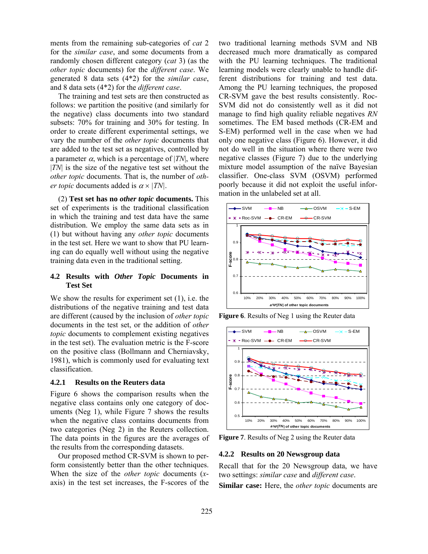ments from the remaining sub-categories of *cat* 2 for the *similar case*, and some documents from a randomly chosen different category (*cat* 3) (as the *other topic* documents) for the *different case*. We generated 8 data sets (4\*2) for the *similar case*, and 8 data sets (4\*2) for the *different case*.

The training and test sets are then constructed as follows: we partition the positive (and similarly for the negative) class documents into two standard subsets: 70% for training and 30% for testing. In order to create different experimental settings, we vary the number of the *other topic* documents that are added to the test set as negatives, controlled by a parameter  $\alpha$ , which is a percentage of |*TN*|, where |*TN*| is the size of the negative test set without the *other topic* documents. That is, the number of *other topic* documents added is  $\alpha \times |TN|$ .

(2) **Test set has no** *other topic* **documents.** This set of experiments is the traditional classification in which the training and test data have the same distribution. We employ the same data sets as in (1) but without having any *other topic* documents in the test set. Here we want to show that PU learning can do equally well without using the negative training data even in the traditional setting.

# **4.2 Results with** *Other Topic* **Documents in Test Set**

We show the results for experiment set (1), i.e. the distributions of the negative training and test data are different (caused by the inclusion of *other topic* documents in the test set, or the addition of *other topic* documents to complement existing negatives in the test set). The evaluation metric is the F-score on the positive class (Bollmann and Cherniavsky, 1981), which is commonly used for evaluating text classification.

### **4.2.1 Results on the Reuters data**

Figure 6 shows the comparison results when the negative class contains only one category of documents (Neg 1), while Figure 7 shows the results when the negative class contains documents from two categories (Neg 2) in the Reuters collection. The data points in the figures are the averages of the results from the corresponding datasets.

Our proposed method CR-SVM is shown to perform consistently better than the other techniques. When the size of the *other topic* documents (*x*axis) in the test set increases, the F-scores of the two traditional learning methods SVM and NB decreased much more dramatically as compared with the PU learning techniques. The traditional learning models were clearly unable to handle different distributions for training and test data. Among the PU learning techniques, the proposed CR-SVM gave the best results consistently. Roc-SVM did not do consistently well as it did not manage to find high quality reliable negatives *RN*  sometimes. The EM based methods (CR-EM and S-EM) performed well in the case when we had only one negative class (Figure 6). However, it did not do well in the situation where there were two negative classes (Figure 7) due to the underlying mixture model assumption of the naïve Bayesian classifier. One-class SVM (OSVM) performed poorly because it did not exploit the useful information in the unlabeled set at all.



**Figure 6**. Results of Neg 1 using the Reuter data



**Figure 7**. Results of Neg 2 using the Reuter data

#### **4.2.2 Results on 20 Newsgroup data**

Recall that for the 20 Newsgroup data, we have two settings: *similar case* and *different case*.

**Similar case:** Here, the *other topic* documents are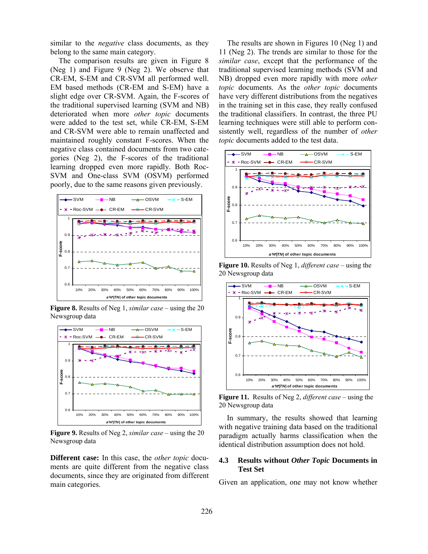similar to the *negative* class documents, as they belong to the same main category.

The comparison results are given in Figure 8 (Neg 1) and Figure 9 (Neg 2). We observe that CR-EM, S-EM and CR-SVM all performed well. EM based methods (CR-EM and S-EM) have a slight edge over CR-SVM. Again, the F-scores of the traditional supervised learning (SVM and NB) deteriorated when more *other topic* documents were added to the test set, while CR-EM, S-EM and CR-SVM were able to remain unaffected and maintained roughly constant F-scores. When the negative class contained documents from two categories (Neg 2), the F-scores of the traditional learning dropped even more rapidly. Both Roc-SVM and One-class SVM (OSVM) performed poorly, due to the same reasons given previously.



**Figure 8.** Results of Neg 1, *similar case* – using the 20 Newsgroup data



**Figure 9.** Results of Neg 2, *similar case* – using the 20 Newsgroup data

**Different case:** In this case, the *other topic* documents are quite different from the negative class documents, since they are originated from different main categories.

The results are shown in Figures 10 (Neg 1) and 11 (Neg 2). The trends are similar to those for the *similar case*, except that the performance of the traditional supervised learning methods (SVM and NB) dropped even more rapidly with more *other topic* documents. As the *other topic* documents have very different distributions from the negatives in the training set in this case, they really confused the traditional classifiers. In contrast, the three PU learning techniques were still able to perform consistently well, regardless of the number of *other topic* documents added to the test data.



**Figure 10.** Results of Neg 1, *different case* – using the 20 Newsgroup data



**Figure 11.** Results of Neg 2, *different case* – using the 20 Newsgroup data

In summary, the results showed that learning with negative training data based on the traditional paradigm actually harms classification when the identical distribution assumption does not hold.

# **4.3 Results without** *Other Topic* **Documents in Test Set**

Given an application, one may not know whether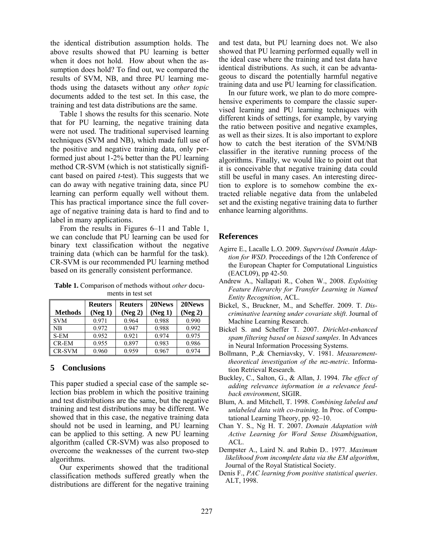the identical distribution assumption holds. The above results showed that PU learning is better when it does not hold. How about when the assumption does hold? To find out, we compared the results of SVM, NB, and three PU learning methods using the datasets without any *other topic* documents added to the test set. In this case, the training and test data distributions are the same.

Table 1 shows the results for this scenario. Note that for PU learning, the negative training data were not used. The traditional supervised learning techniques (SVM and NB), which made full use of the positive and negative training data, only performed just about 1-2% better than the PU learning method CR-SVM (which is not statistically significant based on paired *t*-test). This suggests that we can do away with negative training data, since PU learning can perform equally well without them. This has practical importance since the full coverage of negative training data is hard to find and to label in many applications.

From the results in Figures 6–11 and Table 1, we can conclude that PU learning can be used for binary text classification without the negative training data (which can be harmful for the task). CR-SVM is our recommended PU learning method based on its generally consistent performance.

| <b>Methods</b> | <b>Reuters</b><br>(Neg 1) | <b>Reuters</b><br>(Neg 2) | 20News<br>(Neg 1) | 20News<br>(Neg 2) |
|----------------|---------------------------|---------------------------|-------------------|-------------------|
| <b>SVM</b>     | 0.971                     | 0.964                     | 0.988             | 0.990             |
| <b>NB</b>      | 0.972                     | 0.947                     | 0.988             | 0.992             |
| S-EM           | 0.952                     | 0.921                     | 0.974             | 0.975             |
| CR-EM          | 0.955                     | 0.897                     | 0.983             | 0.986             |
| CR-SVM         | 0.960                     | 0.959                     | 0.967             | 0.974             |

**Table 1.** Comparison of methods without *other* documents in test set

# **5 Conclusions**

This paper studied a special case of the sample selection bias problem in which the positive training and test distributions are the same, but the negative training and test distributions may be different. We showed that in this case, the negative training data should not be used in learning, and PU learning can be applied to this setting. A new PU learning algorithm (called CR-SVM) was also proposed to overcome the weaknesses of the current two-step algorithms.

 Our experiments showed that the traditional classification methods suffered greatly when the distributions are different for the negative training and test data, but PU learning does not. We also showed that PU learning performed equally well in the ideal case where the training and test data have identical distributions. As such, it can be advantageous to discard the potentially harmful negative training data and use PU learning for classification.

 In our future work, we plan to do more comprehensive experiments to compare the classic supervised learning and PU learning techniques with different kinds of settings, for example, by varying the ratio between positive and negative examples, as well as their sizes. It is also important to explore how to catch the best iteration of the SVM/NB classifier in the iterative running process of the algorithms. Finally, we would like to point out that it is conceivable that negative training data could still be useful in many cases. An interesting direction to explore is to somehow combine the extracted reliable negative data from the unlabeled set and the existing negative training data to further enhance learning algorithms.

# **References**

- Agirre E., Lacalle L.O. 2009. *Supervised Domain Adaption for WSD*. Proceedings of the 12th Conference of the European Chapter for Computational Linguistics (EACL09), pp 42-50*.*
- Andrew A., Nallapati R., Cohen W., 2008. *Exploiting Feature Hierarchy for Transfer Learning in Named Entity Recognition*, ACL.
- Bickel, S., Bruckner, M., and Scheffer. 2009. T. *Discriminative learning under covariate shift*. Journal of Machine Learning Research.
- Bickel S. and Scheffer T. 2007. *Dirichlet-enhanced spam filtering based on biased samples*. In Advances in Neural Information Processing Systems.
- Bollmann, P.,& Cherniavsky, V. 1981. *Measurementtheoretical investigation of the mz-metric*. Information Retrieval Research.
- Buckley, C., Salton, G., & Allan, J. 1994. *The effect of adding relevance information in a relevance feedback environment*, SIGIR.
- Blum, A. and Mitchell, T. 1998. *Combining labeled and unlabeled data with co-training*. In Proc. of Computational Learning Theory, pp. 92–10.
- Chan Y. S., Ng H. T. 2007. *Domain Adaptation with Active Learning for Word Sense Disambiguation*, ACL.
- Dempster A., Laird N. and Rubin D.. 1977. *Maximum likelihood from incomplete data via the EM algorithm*, Journal of the Royal Statistical Society.
- Denis F., *PAC learning from positive statistical queries*. ALT, 1998.